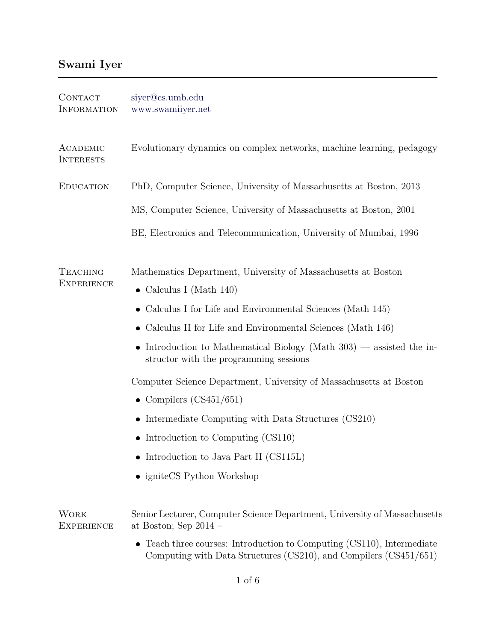## Swami Iyer

| <b>CONTACT</b><br><b>INFORMATION</b> | siyer@cs.umb.edu<br>www.swamiiyer.net                                                                                                                  |
|--------------------------------------|--------------------------------------------------------------------------------------------------------------------------------------------------------|
| ACADEMIC<br><b>INTERESTS</b>         | Evolutionary dynamics on complex networks, machine learning, pedagogy                                                                                  |
| <b>EDUCATION</b>                     | PhD, Computer Science, University of Massachusetts at Boston, 2013                                                                                     |
|                                      | MS, Computer Science, University of Massachusetts at Boston, 2001                                                                                      |
|                                      | BE, Electronics and Telecommunication, University of Mumbai, 1996                                                                                      |
| <b>TEACHING</b><br><b>EXPERIENCE</b> | Mathematics Department, University of Massachusetts at Boston<br>• Calculus I (Math $140$ )                                                            |
|                                      | Calculus I for Life and Environmental Sciences (Math 145)                                                                                              |
|                                      | Calculus II for Life and Environmental Sciences (Math 146)                                                                                             |
|                                      | Introduction to Mathematical Biology (Math $303$ ) — assisted the in-<br>$\bullet$<br>structor with the programming sessions                           |
|                                      | Computer Science Department, University of Massachusetts at Boston                                                                                     |
|                                      | • Compilers $(CS451/651)$                                                                                                                              |
|                                      | • Intermediate Computing with Data Structures $(CS210)$                                                                                                |
|                                      | • Introduction to Computing $(CS110)$                                                                                                                  |
|                                      | • Introduction to Java Part II (CS115L)                                                                                                                |
|                                      | • igniteCS Python Workshop                                                                                                                             |
| <b>WORK</b><br><b>EXPERIENCE</b>     | Senior Lecturer, Computer Science Department, University of Massachusetts<br>at Boston; Sep $2014$ –                                                   |
|                                      | Teach three courses: Introduction to Computing (CS110), Intermediate<br>$\bullet$<br>Computing with Data Structures (CS210), and Compilers (CS451/651) |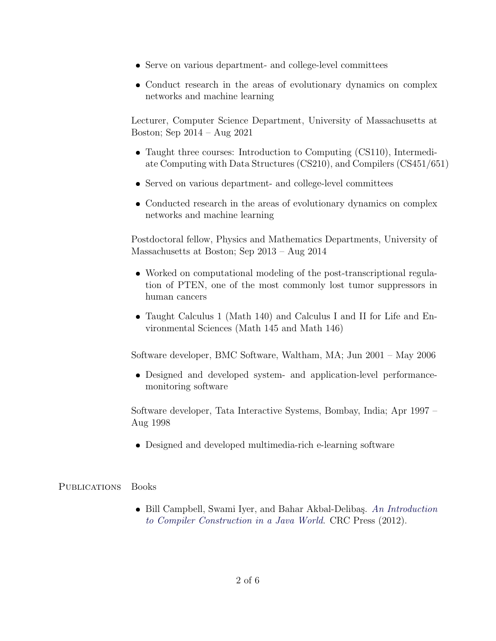- Serve on various department- and college-level committees
- Conduct research in the areas of evolutionary dynamics on complex networks and machine learning

Lecturer, Computer Science Department, University of Massachusetts at Boston; Sep 2014 – Aug 2021

- Taught three courses: Introduction to Computing (CS110), Intermediate Computing with Data Structures (CS210), and Compilers (CS451/651)
- Served on various department- and college-level committees
- Conducted research in the areas of evolutionary dynamics on complex networks and machine learning

Postdoctoral fellow, Physics and Mathematics Departments, University of Massachusetts at Boston; Sep 2013 – Aug 2014

- Worked on computational modeling of the post-transcriptional regulation of PTEN, one of the most commonly lost tumor suppressors in human cancers
- Taught Calculus 1 (Math 140) and Calculus I and II for Life and Environmental Sciences (Math 145 and Math 146)

Software developer, BMC Software, Waltham, MA; Jun 2001 – May 2006

 Designed and developed system- and application-level performancemonitoring software

Software developer, Tata Interactive Systems, Bombay, India; Apr 1997 – Aug 1998

Designed and developed multimedia-rich e-learning software

PUBLICATIONS Books

• Bill Campbell, Swami Iyer, and Bahar Akbal-Delibaş. [An Introduction](http://www.amazon.com/Introduction-Compiler-Construction-Java-World/dp/1439860882/) [to Compiler Construction in a Java World](http://www.amazon.com/Introduction-Compiler-Construction-Java-World/dp/1439860882/). CRC Press (2012).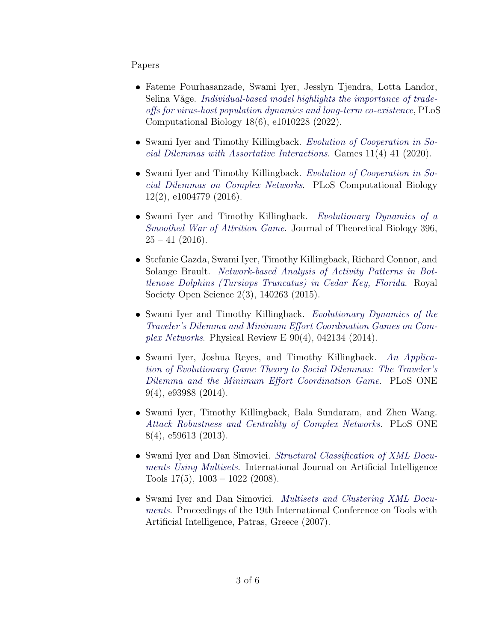## Papers

- Fateme Pourhasanzade, Swami Iyer, Jesslyn Tjendra, Lotta Landor, Selina Våge. [Individual-based model highlights the importance of trade](https://doi.org/10.1371/journal.pcbi.1010228)[offs for virus-host population dynamics and long-term co-existence](https://doi.org/10.1371/journal.pcbi.1010228), PLoS Computational Biology 18(6), e1010228 (2022).
- Swami Iyer and Timothy Killingback. [Evolution of Cooperation in So](https://doi.org/10.3390/g11040041)[cial Dilemmas with Assortative Interactions](https://doi.org/10.3390/g11040041). Games 11(4) 41 (2020).
- Swami Iyer and Timothy Killingback. [Evolution of Cooperation in So](http://dx.doi.org/10.1371/journal.pcbi.1004779)[cial Dilemmas on Complex Networks](http://dx.doi.org/10.1371/journal.pcbi.1004779). PLoS Computational Biology 12(2), e1004779 (2016).
- Swami Iyer and Timothy Killingback. [Evolutionary Dynamics of a](http://dx.doi.org/10.1016/j.jtbi.2016.02.014) [Smoothed War of Attrition Game](http://dx.doi.org/10.1016/j.jtbi.2016.02.014). Journal of Theoretical Biology 396,  $25 - 41$  (2016).
- Stefanie Gazda, Swami Iyer, Timothy Killingback, Richard Connor, and Solange Brault. [Network-based Analysis of Activity Patterns in Bot](http://dx.doi.org/10.1098/rsos.140263)[tlenose Dolphins \(Tursiops Truncatus\) in Cedar Key, Florida](http://dx.doi.org/10.1098/rsos.140263). Royal Society Open Science 2(3), 140263 (2015).
- Swami Iyer and Timothy Killingback. [Evolutionary Dynamics of the](http://dx.doi.org/10.1103/PhysRevE.90.042134) [Traveler's Dilemma and Minimum Effort Coordination Games on Com](http://dx.doi.org/10.1103/PhysRevE.90.042134)[plex Networks](http://dx.doi.org/10.1103/PhysRevE.90.042134). Physical Review E  $90(4)$ , 042134 (2014).
- Swami Iyer, Joshua Reyes, and Timothy Killingback. [An Applica](http://dx.doi.org/10.1371/journal.pone.0093988)[tion of Evolutionary Game Theory to Social Dilemmas: The Traveler's](http://dx.doi.org/10.1371/journal.pone.0093988) [Dilemma and the Minimum Effort Coordination Game](http://dx.doi.org/10.1371/journal.pone.0093988). PLoS ONE 9(4), e93988 (2014).
- Swami Iyer, Timothy Killingback, Bala Sundaram, and Zhen Wang. [Attack Robustness and Centrality of Complex Networks](http://dx.doi.org/10.1371/journal.pone.0059613). PLoS ONE 8(4), e59613 (2013).
- Swami Iyer and Dan Simovici. [Structural Classification of XML Docu](http://www.swamiiyer.net/publications/multisets_long.pdf)[ments Using Multisets](http://www.swamiiyer.net/publications/multisets_long.pdf). International Journal on Artificial Intelligence Tools  $17(5)$ ,  $1003 - 1022$  (2008).
- Swami Iyer and Dan Simovici. [Multisets and Clustering XML Docu](http://www.swamiiyer.net/publications/multisets_short.pdf)[ments](http://www.swamiiyer.net/publications/multisets_short.pdf). Proceedings of the 19th International Conference on Tools with Artificial Intelligence, Patras, Greece (2007).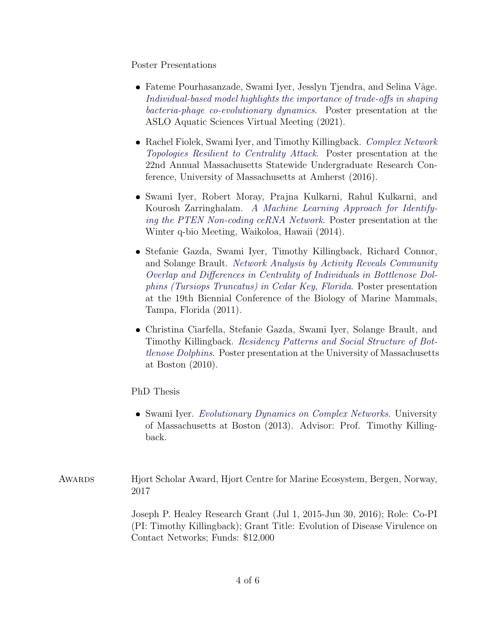Poster Presentations

- Fateme Pourhasanzade, Swami Iyer, Jesslyn Tjendra, and Selina Våge. [Individual-based model highlights the importance of trade-offs in shaping](https://www.swamiiyer.net/publications/aslo_poster1.pdf) [bacteria-phage co-evolutionary dynamics](https://www.swamiiyer.net/publications/aslo_poster1.pdf). Poster presentation at the ASLO Aquatic Sciences Virtual Meeting (2021).
- Rachel Fiolek, Swami Iyer, and Timothy Killingback. [Complex Network](http://www.swamiiyer.net/publications/evolving_network_poster.pdf) [Topologies Resilient to Centrality Attack](http://www.swamiiyer.net/publications/evolving_network_poster.pdf). Poster presentation at the 22nd Annual Massachusetts Statewide Undergraduate Research Conference, University of Massachusetts at Amherst (2016).
- Swami Iyer, Robert Moray, Prajna Kulkarni, Rahul Kulkarni, and Kourosh Zarringhalam. [A Machine Learning Approach for Identify](http://www.swamiiyer.net/publications/cerna_poster.pdf)[ing the PTEN Non-coding ceRNA Network](http://www.swamiiyer.net/publications/cerna_poster.pdf). Poster presentation at the Winter q-bio Meeting, Waikoloa, Hawaii (2014).
- Stefanie Gazda, Swami Iyer, Timothy Killingback, Richard Connor, and Solange Brault. [Network Analysis by Activity Reveals Community](http://www.swamiiyer.net/publications/dolphins_poster2.pdf) [Overlap and Differences in Centrality of Individuals in Bottlenose Dol](http://www.swamiiyer.net/publications/dolphins_poster2.pdf)[phins \(Tursiops Truncatus\) in Cedar Key, Florida](http://www.swamiiyer.net/publications/dolphins_poster2.pdf). Poster presentation at the 19th Biennial Conference of the Biology of Marine Mammals, Tampa, Florida (2011).
- Christina Ciarfella, Stefanie Gazda, Swami Iyer, Solange Brault, and Timothy Killingback. [Residency Patterns and Social Structure of Bot](http://www.swamiiyer.net/publications/dolphins_poster1.pdf)[tlenose Dolphins](http://www.swamiiyer.net/publications/dolphins_poster1.pdf). Poster presentation at the University of Massachusetts at Boston (2010).

PhD Thesis

• Swami Iyer. [Evolutionary Dynamics on Complex Networks](http://scholarworks.umb.edu/doctoral_dissertations/113). University of Massachusetts at Boston (2013). Advisor: Prof. Timothy Killingback.

Awards Hjort Scholar Award, Hjort Centre for Marine Ecosystem, Bergen, Norway, 2017

> Joseph P. Healey Research Grant (Jul 1, 2015-Jun 30, 2016); Role: Co-PI (PI: Timothy Killingback); Grant Title: Evolution of Disease Virulence on Contact Networks; Funds: \$12,000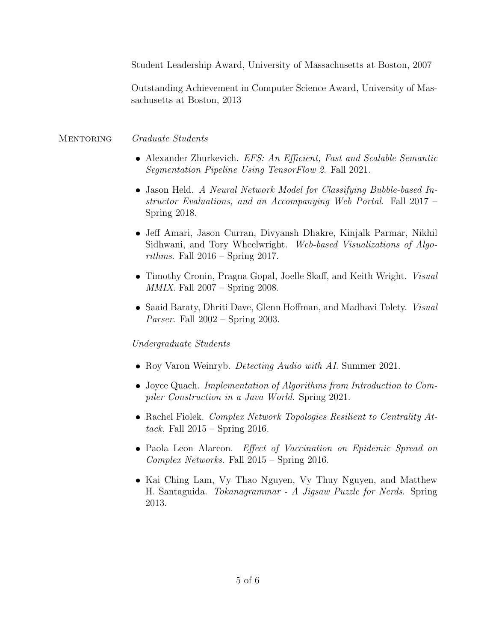Student Leadership Award, University of Massachusetts at Boston, 2007

Outstanding Achievement in Computer Science Award, University of Massachusetts at Boston, 2013

## MENTORING Graduate Students

- Alexander Zhurkevich. EFS: An Efficient, Fast and Scalable Semantic Segmentation Pipeline Using TensorFlow 2. Fall 2021.
- Jason Held. A Neural Network Model for Classifying Bubble-based Instructor Evaluations, and an Accompanying Web Portal. Fall 2017 – Spring 2018.
- Jeff Amari, Jason Curran, Divyansh Dhakre, Kinjalk Parmar, Nikhil Sidhwani, and Tory Wheelwright. Web-based Visualizations of Algorithms. Fall  $2016$  – Spring 2017.
- Timothy Cronin, Pragna Gopal, Joelle Skaff, and Keith Wright. Visual  $MMIX.$  Fall  $2007 -$  Spring 2008.
- Saaid Baraty, Dhriti Dave, Glenn Hoffman, and Madhavi Tolety. Visual *Parser.* Fall  $2002 -$  Spring 2003.

## Undergraduate Students

- Roy Varon Weinryb. *Detecting Audio with AI*. Summer 2021.
- Joyce Quach. Implementation of Algorithms from Introduction to Compiler Construction in a Java World. Spring 2021.
- Rachel Fiolek. Complex Network Topologies Resilient to Centrality Attack. Fall  $2015$  – Spring 2016.
- Paola Leon Alarcon. Effect of Vaccination on Epidemic Spread on Complex Networks. Fall 2015 – Spring 2016.
- Kai Ching Lam, Vy Thao Nguyen, Vy Thuy Nguyen, and Matthew H. Santaguida. Tokanagrammar - A Jigsaw Puzzle for Nerds. Spring 2013.